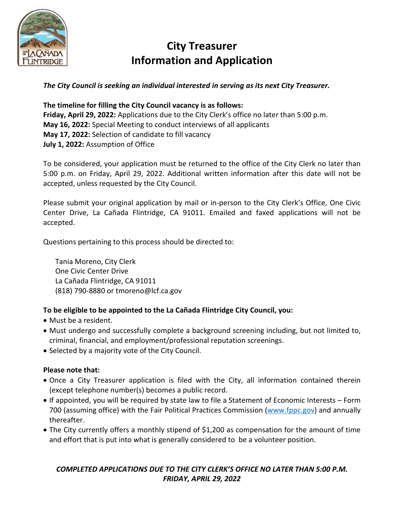

## **City Treasurer Information and Application**

*The City Council is seeking an individual interested in serving as its next City Treasurer.* 

**The timeline for filling the City Council vacancy is as follows: Friday, April 29, 2022:** Applications due to the City Clerk's office no later than 5:00 p.m. **May 16, 2022:** Special Meeting to conduct interviews of all applicants **May 17, 2022:** Selection of candidate to fill vacancy **July 1, 2022:** Assumption of Office

To be considered, your application must be returned to the office of the City Clerk no later than 5:00 p.m. on Friday, April 29, 2022. Additional written information after this date will not be accepted, unless requested by the City Council.

Please submit your original application by mail or in-person to the City Clerk's Office, One Civic Center Drive, La Cañada Flintridge, CA 91011. Emailed and faxed applications will not be accepted.

Questions pertaining to this process should be directed to:

Tania Moreno, City Clerk One Civic Center Drive La Cañada Flintridge, CA 91011 (818) 790-8880 or tmoreno@lcf.ca.gov

#### **To be eligible to be appointed to the La Cañada Flintridge City Council, you:**

- Must be a resident.
- Must undergo and successfully complete a background screening including, but not limited to, criminal, financial, and employment/professional reputation screenings.
- Selected by a majority vote of the City Council.

#### **Please note that:**

- Once a City Treasurer application is filed with the City, all information contained therein (except telephone number(s) becomes a public record.
- If appointed, you will be required by state law to file a Statement of Economic Interests Form 700 (assuming office) with the Fair Political Practices Commission [\(www.fppc.gov\)](http://www.fppc.gov/) and annually thereafter.
- The City currently offers a monthly stipend of \$1,200 as compensation for the amount of time and effort that is put into what is generally considered to be a volunteer position.

#### *COMPLETED APPLICATIONS DUE TO THE CITY CLERK'S OFFICE NO LATER THAN 5:00 P.M. FRIDAY, APRIL 29, 2022*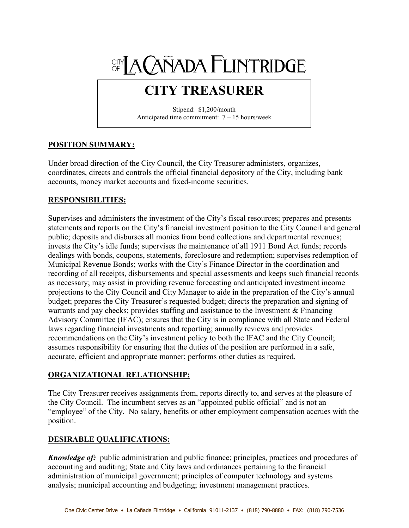# SIN A CAÑADA FLINTRIDGE

# **CITY TREASURER**

Stipend: \$1,200/month Anticipated time commitment: 7 – 15 hours/week

#### **POSITION SUMMARY:**

Under broad direction of the City Council, the City Treasurer administers, organizes, coordinates, directs and controls the official financial depository of the City, including bank accounts, money market accounts and fixed-income securities.

#### **RESPONSIBILITIES:**

Supervises and administers the investment of the City's fiscal resources; prepares and presents statements and reports on the City's financial investment position to the City Council and general public; deposits and disburses all monies from bond collections and departmental revenues; invests the City's idle funds; supervises the maintenance of all 1911 Bond Act funds; records dealings with bonds, coupons, statements, foreclosure and redemption; supervises redemption of Municipal Revenue Bonds; works with the City's Finance Director in the coordination and recording of all receipts, disbursements and special assessments and keeps such financial records as necessary; may assist in providing revenue forecasting and anticipated investment income projections to the City Council and City Manager to aide in the preparation of the City's annual budget; prepares the City Treasurer's requested budget; directs the preparation and signing of warrants and pay checks; provides staffing and assistance to the Investment & Financing Advisory Committee (IFAC); ensures that the City is in compliance with all State and Federal laws regarding financial investments and reporting; annually reviews and provides recommendations on the City's investment policy to both the IFAC and the City Council; assumes responsibility for ensuring that the duties of the position are performed in a safe, accurate, efficient and appropriate manner; performs other duties as required.

#### **ORGANIZATIONAL RELATIONSHIP:**

The City Treasurer receives assignments from, reports directly to, and serves at the pleasure of the City Council. The incumbent serves as an "appointed public official" and is not an "employee" of the City. No salary, benefits or other employment compensation accrues with the position.

#### **DESIRABLE QUALIFICATIONS:**

*Knowledge of:* public administration and public finance; principles, practices and procedures of accounting and auditing; State and City laws and ordinances pertaining to the financial administration of municipal government; principles of computer technology and systems analysis; municipal accounting and budgeting; investment management practices.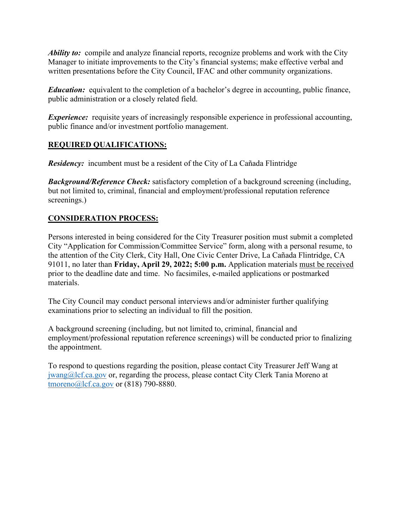*Ability to:* compile and analyze financial reports, recognize problems and work with the City Manager to initiate improvements to the City's financial systems; make effective verbal and written presentations before the City Council, IFAC and other community organizations.

*Education:* equivalent to the completion of a bachelor's degree in accounting, public finance, public administration or a closely related field.

*Experience:* requisite years of increasingly responsible experience in professional accounting, public finance and/or investment portfolio management.

#### **REQUIRED QUALIFICATIONS:**

*Residency:* incumbent must be a resident of the City of La Cañada Flintridge

*Background/Reference Check:* satisfactory completion of a background screening (including, but not limited to, criminal, financial and employment/professional reputation reference screenings.)

#### **CONSIDERATION PROCESS:**

Persons interested in being considered for the City Treasurer position must submit a completed City "Application for Commission/Committee Service" form, along with a personal resume, to the attention of the City Clerk, City Hall, One Civic Center Drive, La Cañada Flintridge, CA 91011, no later than **Friday, April 29, 2022; 5:00 p.m.** Application materials must be received prior to the deadline date and time. No facsimiles, e-mailed applications or postmarked materials.

The City Council may conduct personal interviews and/or administer further qualifying examinations prior to selecting an individual to fill the position.

A background screening (including, but not limited to, criminal, financial and employment/professional reputation reference screenings) will be conducted prior to finalizing the appointment.

To respond to questions regarding the position, please contact City Treasurer Jeff Wang at [jwang@lcf.ca.gov](mailto:JWang@lcf.ca.gov) or, regarding the process, please contact City Clerk Tania Moreno at [tmoreno@lcf.ca.gov](mailto:TMoreno@lcf.ca.gov) or (818) 790-8880.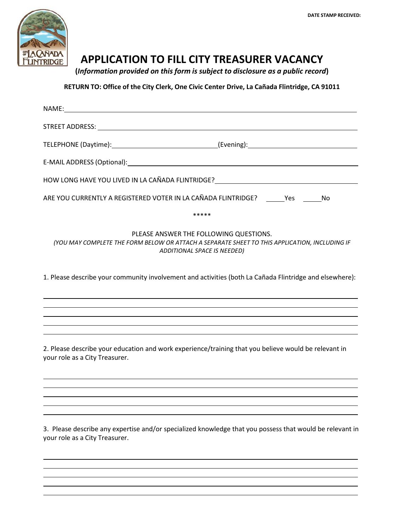

### **APPLICATION TO FILL CITY TREASURER VACANCY**

**(***Information provided on this form is subject to disclosure as a public record***)**

**RETURN TO: Office of the City Clerk, One Civic Center Drive, La Cañada Flintridge, CA 91011**

| HOW LONG HAVE YOU LIVED IN LA CAÑADA FLINTRIDGE? [19] THE RELATION OF THE RELATION OF THE RELATIONS OF THE RELA                                                        |
|------------------------------------------------------------------------------------------------------------------------------------------------------------------------|
| ARE YOU CURRENTLY A REGISTERED VOTER IN LA CAÑADA FLINTRIDGE? ______Yes ______No                                                                                       |
| *****                                                                                                                                                                  |
| PLEASE ANSWER THE FOLLOWING QUESTIONS.<br>(YOU MAY COMPLETE THE FORM BELOW OR ATTACH A SEPARATE SHEET TO THIS APPLICATION, INCLUDING IF<br>ADDITIONAL SPACE IS NEEDED) |
| 1. Please describe your community involvement and activities (both La Cañada Flintridge and elsewhere):                                                                |
|                                                                                                                                                                        |
|                                                                                                                                                                        |
| 2. Please describe your education and work experience/training that you believe would be relevant in<br>your role as a City Treasurer.                                 |
|                                                                                                                                                                        |

3. Please describe any expertise and/or specialized knowledge that you possess that would be relevant in your role as a City Treasurer.